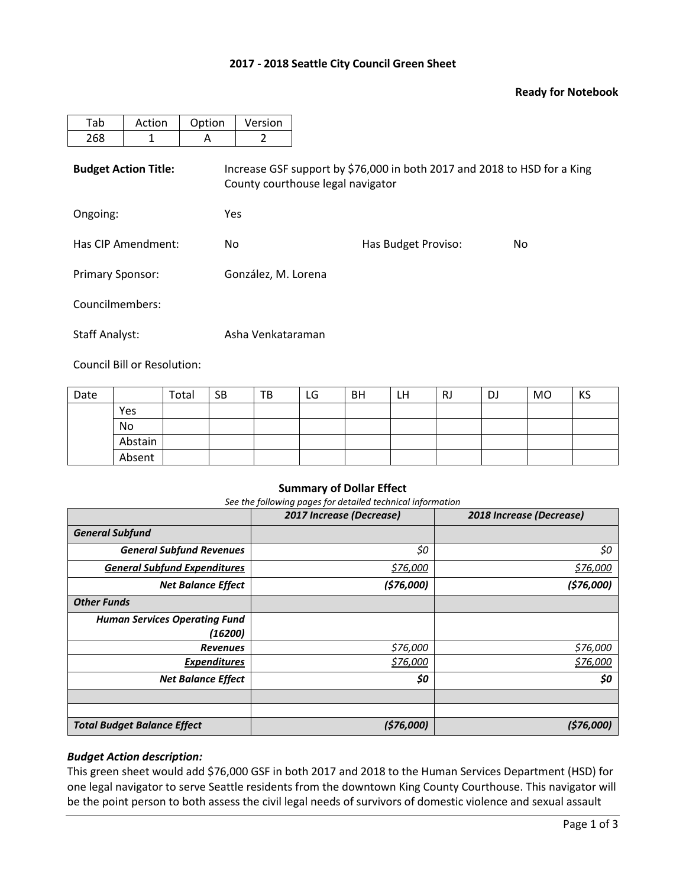## **2017 - 2018 Seattle City Council Green Sheet**

## **Ready for Notebook**

| Tab                         | Action | Option | Version                                                                                                       |                     |     |  |  |  |  |  |
|-----------------------------|--------|--------|---------------------------------------------------------------------------------------------------------------|---------------------|-----|--|--|--|--|--|
| 268                         | 1      | A      | 2                                                                                                             |                     |     |  |  |  |  |  |
| <b>Budget Action Title:</b> |        |        | Increase GSF support by \$76,000 in both 2017 and 2018 to HSD for a King<br>County courthouse legal navigator |                     |     |  |  |  |  |  |
| Ongoing:                    |        |        | Yes                                                                                                           |                     |     |  |  |  |  |  |
| Has CIP Amendment:          |        | No.    |                                                                                                               | Has Budget Proviso: | No. |  |  |  |  |  |
| <b>Primary Sponsor:</b>     |        |        | González, M. Lorena                                                                                           |                     |     |  |  |  |  |  |
| Councilmembers:             |        |        |                                                                                                               |                     |     |  |  |  |  |  |
| <b>Staff Analyst:</b>       |        |        | Asha Venkataraman                                                                                             |                     |     |  |  |  |  |  |

Council Bill or Resolution:

| Date |         | Total | <b>SB</b> | TB | LG | <b>BH</b> | LH | RJ | DJ | <b>MO</b> | KS |
|------|---------|-------|-----------|----|----|-----------|----|----|----|-----------|----|
|      | Yes     |       |           |    |    |           |    |    |    |           |    |
|      | No      |       |           |    |    |           |    |    |    |           |    |
|      | Abstain |       |           |    |    |           |    |    |    |           |    |
|      | Absent  |       |           |    |    |           |    |    |    |           |    |

#### **Summary of Dollar Effect**

*See the following pages for detailed technical information*

|                                      | 2017 Increase (Decrease) | 2018 Increase (Decrease) |
|--------------------------------------|--------------------------|--------------------------|
| <b>General Subfund</b>               |                          |                          |
| <b>General Subfund Revenues</b>      | \$0                      | \$0                      |
| <b>General Subfund Expenditures</b>  | \$76,000                 | <u>\$76,000</u>          |
| <b>Net Balance Effect</b>            | (576,000)                | (576,000)                |
| <b>Other Funds</b>                   |                          |                          |
| <b>Human Services Operating Fund</b> |                          |                          |
| (16200)                              |                          |                          |
| <b>Revenues</b>                      | \$76,000                 | \$76,000                 |
| <b>Expenditures</b>                  | \$76,000                 | \$76,000                 |
| <b>Net Balance Effect</b>            | \$0                      | \$0                      |
|                                      |                          |                          |
|                                      |                          |                          |
| <b>Total Budget Balance Effect</b>   | (576,000)                | (576,000)                |

## *Budget Action description:*

This green sheet would add \$76,000 GSF in both 2017 and 2018 to the Human Services Department (HSD) for one legal navigator to serve Seattle residents from the downtown King County Courthouse. This navigator will be the point person to both assess the civil legal needs of survivors of domestic violence and sexual assault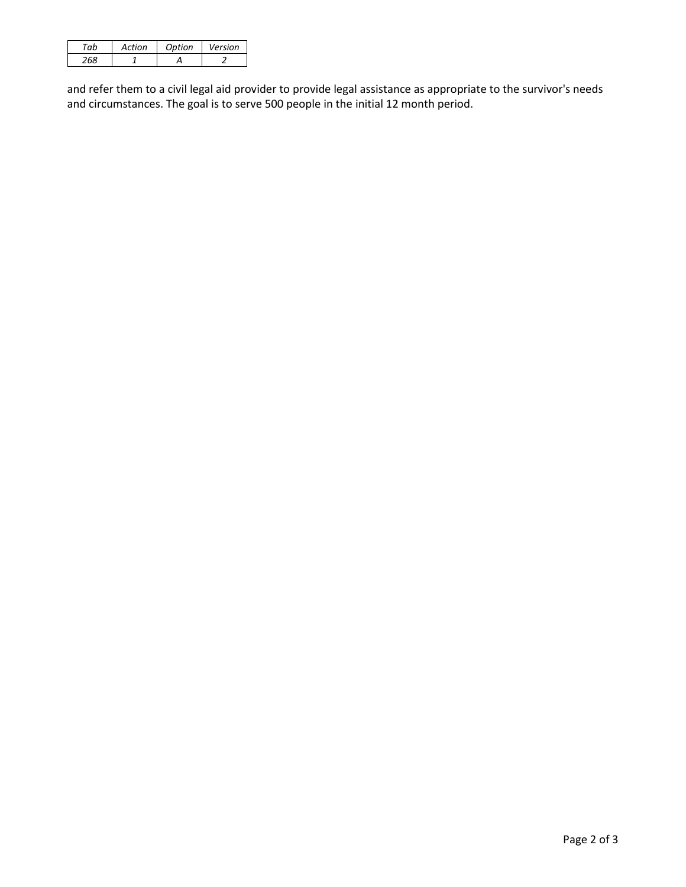| Artion | Ontion | Version |
|--------|--------|---------|
|        |        |         |

and refer them to a civil legal aid provider to provide legal assistance as appropriate to the survivor's needs and circumstances. The goal is to serve 500 people in the initial 12 month period.